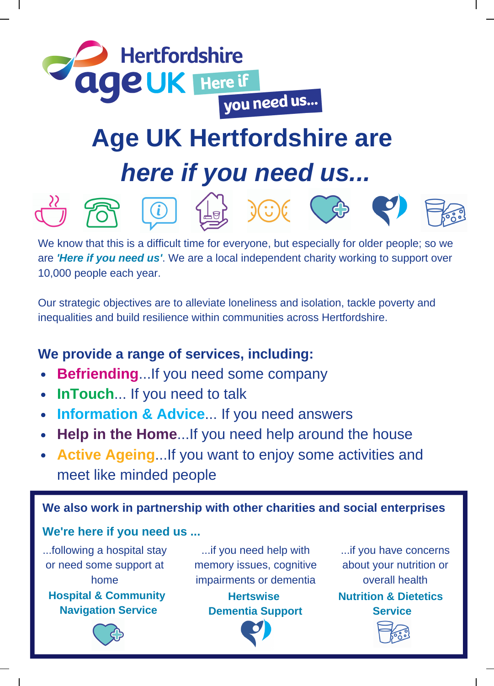

## *here if you need us...*















We know that this is a difficult time for everyone, but especially for older people; so we are *'Here if you need us'*. We are a local independent charity working to support over 10,000 people each year.

Our strategic objectives are to alleviate loneliness and isolation, tackle poverty and inequalities and build resilience within communities across Hertfordshire.

## **We provide a range of services, including:**

- **Befriending**...If you need some company
- **InTouch**... If you need to talk
- **Information & Advice**... If you need answers  $\bullet$
- **Help in the Home**...If you need help around the house
- **Active Ageing**...If you want to enjoy some activities and meet like minded people

**We also work in partnership with other charities and social enterprises**

## **We're here if you need us ...**

...following a hospital stay or need some support at home

**Hospital & Community Navigation Service**

...if you need help with memory issues, cognitive impairments or dementia

**Hertswise Dementia Support**



...if you have concerns about your nutrition or overall health

**Nutrition & Dietetics Service**